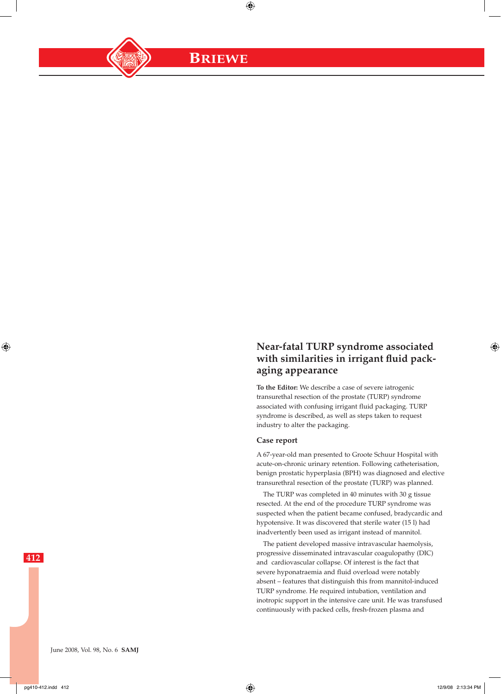**BRIEWE**

 $\bigoplus$ 

# **Near-fatal TURP syndrome associated with similarities in irrigant fluid packaging appearance**

**To the Editor:** We describe a case of severe iatrogenic transurethal resection of the prostate (TURP) syndrome associated with confusing irrigant fluid packaging. TURP syndrome is described, as well as steps taken to request industry to alter the packaging.

## **Case report**

A 67-year-old man presented to Groote Schuur Hospital with acute-on-chronic urinary retention. Following catheterisation, benign prostatic hyperplasia (BPH) was diagnosed and elective transurethral resection of the prostate (TURP) was planned.

The TURP was completed in 40 minutes with 30 g tissue resected. At the end of the procedure TURP syndrome was suspected when the patient became confused, bradycardic and hypotensive. It was discovered that sterile water (15 l) had inadvertently been used as irrigant instead of mannitol.

The patient developed massive intravascular haemolysis, progressive disseminated intravascular coagulopathy (DIC) and cardiovascular collapse. Of interest is the fact that severe hyponatraemia and fluid overload were notably absent – features that distinguish this from mannitol-induced TURP syndrome. He required intubation, ventilation and inotropic support in the intensive care unit. He was transfused continuously with packed cells, fresh-frozen plasma and

**412**

⊕